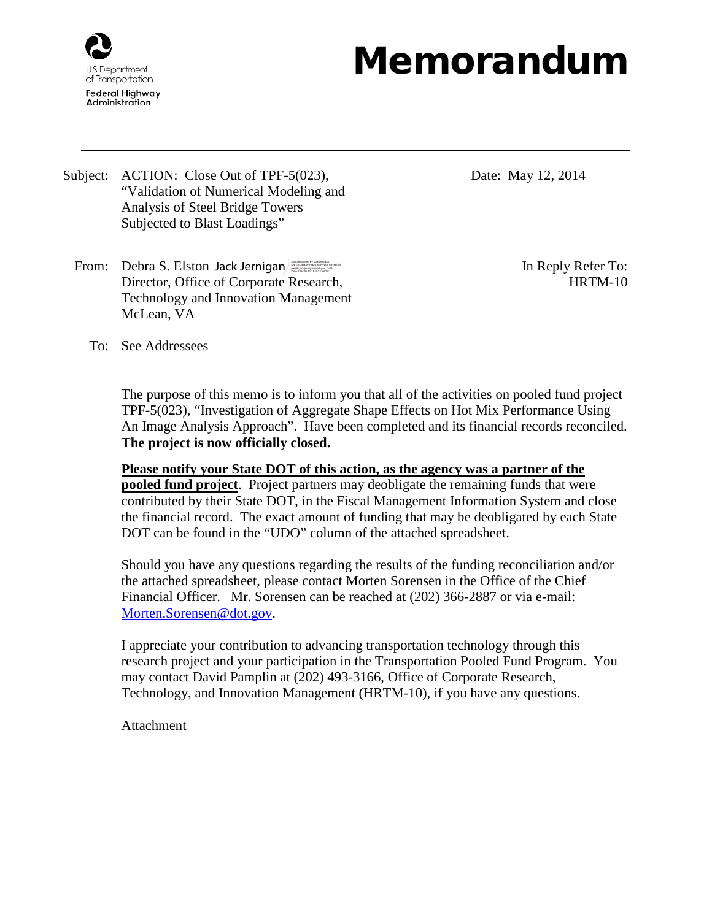

## Memorandum

Subject: ACTION: Close Out of TPF-5(023), "Validation of Numerical Modeling and Analysis of Steel Bridge Towers Subjected to Blast Loadings"

- Date: May 12, 2014
- From: Debra S. Elston Jack Jernigan **Digitally signed by Jack Jernigan** Digital Content Director, Office of Corporate Research, Technology and Innovation Management McLean, VA

HRTM-10

To: See Addressees

The purpose of this memo is to inform you that all of the activities on pooled fund project TPF-5(023), "Investigation of Aggregate Shape Effects on Hot Mix Performance Using An Image Analysis Approach". Have been completed and its financial records reconciled. **The project is now officially closed.**

**Please notify your State DOT of this action, as the agency was a partner of the pooled fund project**. Project partners may deobligate the remaining funds that were contributed by their State DOT, in the Fiscal Management Information System and close the financial record. The exact amount of funding that may be deobligated by each State DOT can be found in the "UDO" column of the attached spreadsheet.

Should you have any questions regarding the results of the funding reconciliation and/or the attached spreadsheet, please contact Morten Sorensen in the Office of the Chief Financial Officer. Mr. Sorensen can be reached at (202) 366-2887 or via e-mail: [Morten.Sorensen@dot.gov.](mailto:Morten.Sorensen@dot.gov)

I appreciate your contribution to advancing transportation technology through this research project and your participation in the Transportation Pooled Fund Program. You may contact David Pamplin at (202) 493-3166, Office of Corporate Research, Technology, and Innovation Management (HRTM-10), if you have any questions.

**Attachment**